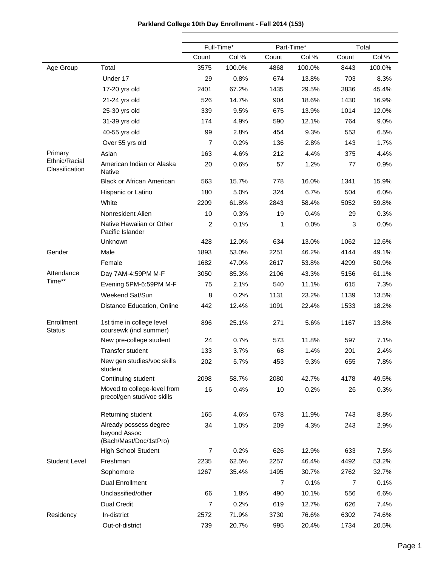|                                 |                                                                  |                  | Full-Time* | Part-Time*     |        | Total          |        |
|---------------------------------|------------------------------------------------------------------|------------------|------------|----------------|--------|----------------|--------|
|                                 |                                                                  | Count            | Col %      | Count          | Col %  | Count          | Col %  |
| Age Group                       | Total                                                            | 3575             | 100.0%     | 4868           | 100.0% | 8443           | 100.0% |
|                                 | Under 17                                                         | 29               | 0.8%       | 674            | 13.8%  | 703            | 8.3%   |
|                                 | 17-20 yrs old                                                    | 2401             | 67.2%      | 1435           | 29.5%  | 3836           | 45.4%  |
|                                 | 21-24 yrs old                                                    | 526              | 14.7%      | 904            | 18.6%  | 1430           | 16.9%  |
|                                 | 25-30 yrs old                                                    | 339              | 9.5%       | 675            | 13.9%  | 1014           | 12.0%  |
|                                 | 31-39 yrs old                                                    | 174              | 4.9%       | 590            | 12.1%  | 764            | 9.0%   |
|                                 | 40-55 yrs old                                                    | 99               | 2.8%       | 454            | 9.3%   | 553            | 6.5%   |
|                                 | Over 55 yrs old                                                  | $\overline{7}$   | 0.2%       | 136            | 2.8%   | 143            | 1.7%   |
| Primary                         | Asian                                                            | 163              | 4.6%       | 212            | 4.4%   | 375            | 4.4%   |
| Ethnic/Racial<br>Classification | American Indian or Alaska<br><b>Native</b>                       | 20               | 0.6%       | 57             | 1.2%   | 77             | 0.9%   |
|                                 | <b>Black or African American</b>                                 | 563              | 15.7%      | 778            | 16.0%  | 1341           | 15.9%  |
|                                 | Hispanic or Latino                                               | 180              | 5.0%       | 324            | 6.7%   | 504            | 6.0%   |
|                                 | White                                                            | 2209             | 61.8%      | 2843           | 58.4%  | 5052           | 59.8%  |
|                                 | Nonresident Alien                                                | 10               | 0.3%       | 19             | 0.4%   | 29             | 0.3%   |
|                                 | Native Hawaiian or Other<br>Pacific Islander                     | $\overline{c}$   | 0.1%       | 1              | 0.0%   | 3              | 0.0%   |
|                                 | Unknown                                                          | 428              | 12.0%      | 634            | 13.0%  | 1062           | 12.6%  |
| Gender                          | Male                                                             | 1893             | 53.0%      | 2251           | 46.2%  | 4144           | 49.1%  |
|                                 | Female                                                           | 1682             | 47.0%      | 2617           | 53.8%  | 4299           | 50.9%  |
| Attendance                      | Day 7AM-4:59PM M-F                                               | 3050             | 85.3%      | 2106           | 43.3%  | 5156           | 61.1%  |
| Time**                          | Evening 5PM-6:59PM M-F                                           | 75               | 2.1%       | 540            | 11.1%  | 615            | 7.3%   |
|                                 | Weekend Sat/Sun                                                  | 8                | 0.2%       | 1131           | 23.2%  | 1139           | 13.5%  |
|                                 | Distance Education, Online                                       | 442              | 12.4%      | 1091           | 22.4%  | 1533           | 18.2%  |
| Enrollment<br><b>Status</b>     | 1st time in college level<br>coursewk (incl summer)              | 896              | 25.1%      | 271            | 5.6%   | 1167           | 13.8%  |
|                                 | New pre-college student                                          | 24               | 0.7%       | 573            | 11.8%  | 597            | 7.1%   |
|                                 | <b>Transfer student</b>                                          | 133              | 3.7%       | 68             | 1.4%   | 201            | 2.4%   |
|                                 | New gen studies/voc skills<br>student                            | 202              | 5.7%       | 453            | 9.3%   | 655            | 7.8%   |
|                                 | Continuing student                                               | 2098             | 58.7%      | 2080           | 42.7%  | 4178           | 49.5%  |
|                                 | Moved to college-level from<br>precol/gen stud/voc skills        | 16               | 0.4%       | 10             | 0.2%   | 26             | 0.3%   |
|                                 | Returning student                                                | 165              | 4.6%       | 578            | 11.9%  | 743            | 8.8%   |
|                                 | Already possess degree<br>beyond Assoc<br>(Bach/Mast/Doc/1stPro) | 34               | 1.0%       | 209            | 4.3%   | 243            | 2.9%   |
|                                 | High School Student                                              | $\boldsymbol{7}$ | 0.2%       | 626            | 12.9%  | 633            | 7.5%   |
| <b>Student Level</b>            | Freshman                                                         | 2235             | 62.5%      | 2257           | 46.4%  | 4492           | 53.2%  |
|                                 | Sophomore                                                        | 1267             | 35.4%      | 1495           | 30.7%  | 2762           | 32.7%  |
|                                 | Dual Enrollment                                                  |                  |            | $\overline{7}$ | 0.1%   | $\overline{7}$ | 0.1%   |
|                                 | Unclassified/other                                               | 66               | 1.8%       | 490            | 10.1%  | 556            | 6.6%   |
|                                 | <b>Dual Credit</b>                                               | $\overline{7}$   | 0.2%       | 619            | 12.7%  | 626            | 7.4%   |
| Residency                       | In-district                                                      | 2572             | 71.9%      | 3730           | 76.6%  | 6302           | 74.6%  |
|                                 | Out-of-district                                                  | 739              | 20.7%      | 995            | 20.4%  | 1734           | 20.5%  |

## **Parkland College 10th Day Enrollment - Fall 2014 (153)**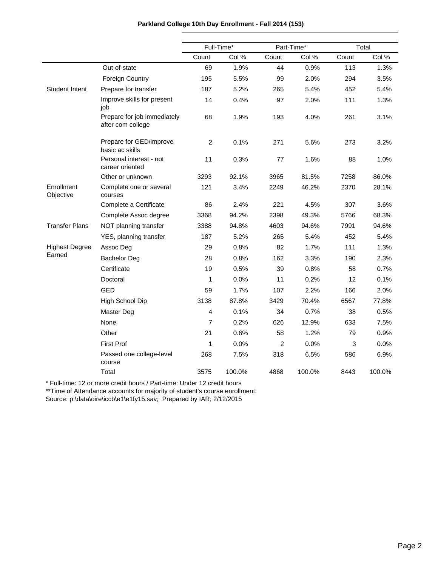|                         |                                                  | Full-Time*     |        | Part-Time*     |        |       | Total  |
|-------------------------|--------------------------------------------------|----------------|--------|----------------|--------|-------|--------|
|                         |                                                  | Count          | Col %  | Count          | Col %  | Count | Col %  |
|                         | Out-of-state                                     | 69             | 1.9%   | 44             | 0.9%   | 113   | 1.3%   |
|                         | <b>Foreign Country</b>                           | 195            | 5.5%   | 99             | 2.0%   | 294   | 3.5%   |
| <b>Student Intent</b>   | Prepare for transfer                             | 187            | 5.2%   | 265            | 5.4%   | 452   | 5.4%   |
|                         | Improve skills for present<br>iob                | 14             | 0.4%   | 97             | 2.0%   | 111   | 1.3%   |
|                         | Prepare for job immediately<br>after com college | 68             | 1.9%   | 193            | 4.0%   | 261   | 3.1%   |
|                         | Prepare for GED/improve<br>basic ac skills       | 2              | 0.1%   | 271            | 5.6%   | 273   | 3.2%   |
|                         | Personal interest - not<br>career oriented       | 11             | 0.3%   | 77             | 1.6%   | 88    | 1.0%   |
|                         | Other or unknown                                 | 3293           | 92.1%  | 3965           | 81.5%  | 7258  | 86.0%  |
| Enrollment<br>Objective | Complete one or several<br>courses               | 121            | 3.4%   | 2249           | 46.2%  | 2370  | 28.1%  |
|                         | Complete a Certificate                           | 86             | 2.4%   | 221            | 4.5%   | 307   | 3.6%   |
|                         | Complete Assoc degree                            | 3368           | 94.2%  | 2398           | 49.3%  | 5766  | 68.3%  |
| <b>Transfer Plans</b>   | NOT planning transfer                            | 3388           | 94.8%  | 4603           | 94.6%  | 7991  | 94.6%  |
|                         | YES, planning transfer                           | 187            | 5.2%   | 265            | 5.4%   | 452   | 5.4%   |
| <b>Highest Degree</b>   | Assoc Deg                                        | 29             | 0.8%   | 82             | 1.7%   | 111   | 1.3%   |
| Earned                  | <b>Bachelor Deg</b>                              | 28             | 0.8%   | 162            | 3.3%   | 190   | 2.3%   |
|                         | Certificate                                      | 19             | 0.5%   | 39             | 0.8%   | 58    | 0.7%   |
|                         | Doctoral                                         | $\mathbf{1}$   | 0.0%   | 11             | 0.2%   | 12    | 0.1%   |
|                         | <b>GED</b>                                       | 59             | 1.7%   | 107            | 2.2%   | 166   | 2.0%   |
|                         | High School Dip                                  | 3138           | 87.8%  | 3429           | 70.4%  | 6567  | 77.8%  |
|                         | Master Deg                                       | 4              | 0.1%   | 34             | 0.7%   | 38    | 0.5%   |
|                         | None                                             | $\overline{7}$ | 0.2%   | 626            | 12.9%  | 633   | 7.5%   |
|                         | Other                                            | 21             | 0.6%   | 58             | 1.2%   | 79    | 0.9%   |
|                         | <b>First Prof</b>                                | 1              | 0.0%   | $\overline{2}$ | 0.0%   | 3     | 0.0%   |
|                         | Passed one college-level<br>course               | 268            | 7.5%   | 318            | 6.5%   | 586   | 6.9%   |
|                         | Total                                            | 3575           | 100.0% | 4868           | 100.0% | 8443  | 100.0% |

\*\*Time of Attendance accounts for majority of student's course enrollment.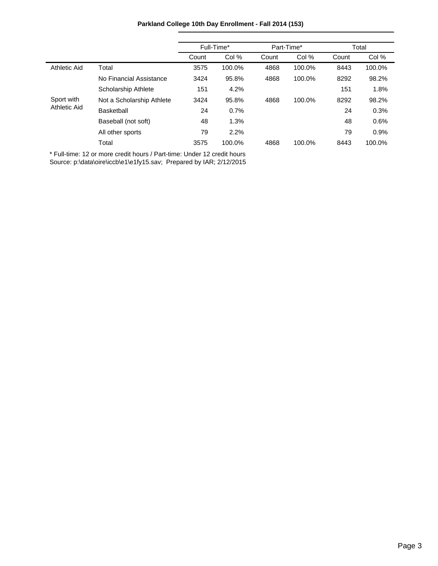|              |                           | Full-Time* |        | Part-Time* |        | Total |        |
|--------------|---------------------------|------------|--------|------------|--------|-------|--------|
|              |                           | Count      | Col %  | Count      | Col %  | Count | Col %  |
| Athletic Aid | Total                     | 3575       | 100.0% | 4868       | 100.0% | 8443  | 100.0% |
|              | No Financial Assistance   | 3424       | 95.8%  | 4868       | 100.0% | 8292  | 98.2%  |
|              | Scholarship Athlete       | 151        | 4.2%   |            |        | 151   | 1.8%   |
| Sport with   | Not a Scholarship Athlete | 3424       | 95.8%  | 4868       | 100.0% | 8292  | 98.2%  |
| Athletic Aid | <b>Basketball</b>         | 24         | 0.7%   |            |        | 24    | 0.3%   |
|              | Baseball (not soft)       | 48         | 1.3%   |            |        | 48    | 0.6%   |
|              | All other sports          | 79         | 2.2%   |            |        | 79    | 0.9%   |
|              | Total                     | 3575       | 100.0% | 4868       | 100.0% | 8443  | 100.0% |

## **Parkland College 10th Day Enrollment - Fall 2014 (153)**

\* Full-time: 12 or more credit hours / Part-time: Under 12 credit hours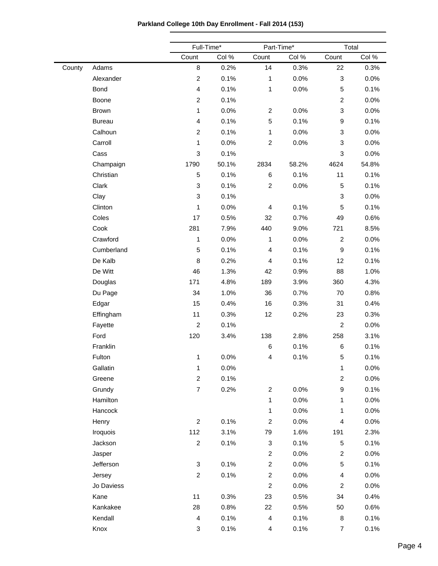|        |               | Full-Time*              |       |                           | Part-Time* |                           | Total |  |
|--------|---------------|-------------------------|-------|---------------------------|------------|---------------------------|-------|--|
|        |               | Count                   | Col % | Count                     | Col %      | Count                     | Col % |  |
| County | Adams         | 8                       | 0.2%  | 14                        | 0.3%       | 22                        | 0.3%  |  |
|        | Alexander     | $\overline{c}$          | 0.1%  | $\mathbf{1}$              | 0.0%       | $\ensuremath{\mathsf{3}}$ | 0.0%  |  |
|        | <b>Bond</b>   | $\overline{\mathbf{4}}$ | 0.1%  | $\mathbf{1}$              | 0.0%       | $\sqrt{5}$                | 0.1%  |  |
|        | Boone         | $\overline{a}$          | 0.1%  |                           |            | $\boldsymbol{2}$          | 0.0%  |  |
|        | Brown         | 1                       | 0.0%  | $\overline{c}$            | 0.0%       | $\ensuremath{\mathsf{3}}$ | 0.0%  |  |
|        | <b>Bureau</b> | $\overline{\mathbf{4}}$ | 0.1%  | 5                         | 0.1%       | $\boldsymbol{9}$          | 0.1%  |  |
|        | Calhoun       | $\overline{a}$          | 0.1%  | $\mathbf{1}$              | 0.0%       | $\ensuremath{\mathsf{3}}$ | 0.0%  |  |
|        | Carroll       | 1                       | 0.0%  | $\overline{c}$            | 0.0%       | 3                         | 0.0%  |  |
|        | Cass          | 3                       | 0.1%  |                           |            | $\mathbf{3}$              | 0.0%  |  |
|        | Champaign     | 1790                    | 50.1% | 2834                      | 58.2%      | 4624                      | 54.8% |  |
|        | Christian     | 5                       | 0.1%  | 6                         | 0.1%       | 11                        | 0.1%  |  |
|        | Clark         | 3                       | 0.1%  | $\overline{c}$            | 0.0%       | $\sqrt{5}$                | 0.1%  |  |
|        | Clay          | 3                       | 0.1%  |                           |            | $\ensuremath{\mathsf{3}}$ | 0.0%  |  |
|        | Clinton       | 1                       | 0.0%  | 4                         | 0.1%       | $\sqrt{5}$                | 0.1%  |  |
|        | Coles         | 17                      | 0.5%  | 32                        | 0.7%       | 49                        | 0.6%  |  |
|        | Cook          | 281                     | 7.9%  | 440                       | 9.0%       | 721                       | 8.5%  |  |
|        | Crawford      | 1                       | 0.0%  | $\mathbf{1}$              | 0.0%       | $\boldsymbol{2}$          | 0.0%  |  |
|        | Cumberland    | 5                       | 0.1%  | 4                         | 0.1%       | $\boldsymbol{9}$          | 0.1%  |  |
|        | De Kalb       | 8                       | 0.2%  | 4                         | 0.1%       | 12                        | 0.1%  |  |
|        | De Witt       | 46                      | 1.3%  | 42                        | 0.9%       | 88                        | 1.0%  |  |
|        | Douglas       | 171                     | 4.8%  | 189                       | 3.9%       | 360                       | 4.3%  |  |
|        | Du Page       | 34                      | 1.0%  | 36                        | 0.7%       | 70                        | 0.8%  |  |
|        | Edgar         | 15                      | 0.4%  | 16                        | 0.3%       | 31                        | 0.4%  |  |
|        | Effingham     | 11                      | 0.3%  | 12                        | 0.2%       | 23                        | 0.3%  |  |
|        | Fayette       | $\overline{c}$          | 0.1%  |                           |            | $\overline{c}$            | 0.0%  |  |
|        | Ford          | 120                     | 3.4%  | 138                       | 2.8%       | 258                       | 3.1%  |  |
|        | Franklin      |                         |       | 6                         | 0.1%       | 6                         | 0.1%  |  |
|        | Fulton        | 1                       | 0.0%  | 4                         | 0.1%       | $\,$ 5 $\,$               | 0.1%  |  |
|        | Gallatin      | 1                       | 0.0%  |                           |            | 1                         | 0.0%  |  |
|        | Greene        | $\overline{a}$          | 0.1%  |                           |            | $\boldsymbol{2}$          | 0.0%  |  |
|        | Grundy        | $\boldsymbol{7}$        | 0.2%  | $\overline{c}$            | 0.0%       | $\boldsymbol{9}$          | 0.1%  |  |
|        | Hamilton      |                         |       | $\mathbf{1}$              | 0.0%       | $\mathbf{1}$              | 0.0%  |  |
|        | Hancock       |                         |       | $\mathbf{1}$              | 0.0%       | 1                         | 0.0%  |  |
|        | Henry         | $\overline{c}$          | 0.1%  | $\overline{c}$            | 0.0%       | $\overline{\mathbf{4}}$   | 0.0%  |  |
|        | Iroquois      | 112                     | 3.1%  | 79                        | 1.6%       | 191                       | 2.3%  |  |
|        | Jackson       | $\overline{a}$          | 0.1%  | $\ensuremath{\mathsf{3}}$ | 0.1%       | $\sqrt{5}$                | 0.1%  |  |
|        | Jasper        |                         |       | $\overline{c}$            | 0.0%       | $\overline{c}$            | 0.0%  |  |
|        | Jefferson     | 3                       | 0.1%  | $\overline{c}$            | 0.0%       | $\sqrt{5}$                | 0.1%  |  |
|        | Jersey        | $\overline{a}$          | 0.1%  | $\overline{c}$            | 0.0%       | $\overline{\mathbf{4}}$   | 0.0%  |  |
|        | Jo Daviess    |                         |       | $\overline{c}$            | 0.0%       | $\boldsymbol{2}$          | 0.0%  |  |
|        | Kane          | 11                      | 0.3%  | 23                        | 0.5%       | 34                        | 0.4%  |  |
|        | Kankakee      | 28                      | 0.8%  | 22                        | 0.5%       | 50                        | 0.6%  |  |
|        | Kendall       | 4                       | 0.1%  | $\overline{\mathbf{4}}$   | 0.1%       | 8                         | 0.1%  |  |
|        | Knox          | 3                       | 0.1%  | 4                         | 0.1%       | $\overline{7}$            | 0.1%  |  |

**Parkland College 10th Day Enrollment - Fall 2014 (153)**

 $\overline{\phantom{0}}$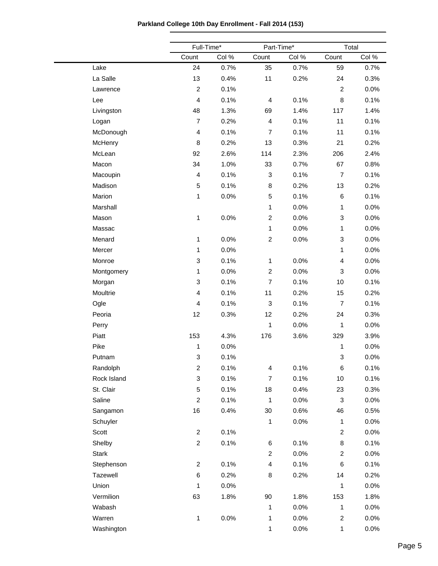|  |  | Parkland College 10th Day Enrollment - Fall 2014 (153) |  |
|--|--|--------------------------------------------------------|--|
|--|--|--------------------------------------------------------|--|

|              | Full-Time*                |         | Part-Time*                |         | Total                   |       |  |
|--------------|---------------------------|---------|---------------------------|---------|-------------------------|-------|--|
|              | Count                     | Col %   | Count                     | Col %   | Count                   | Col % |  |
| Lake         | 24                        | 0.7%    | 35                        | 0.7%    | 59                      | 0.7%  |  |
| La Salle     | 13                        | 0.4%    | 11                        | 0.2%    | 24                      | 0.3%  |  |
| Lawrence     | $\boldsymbol{2}$          | 0.1%    |                           |         | $\overline{c}$          | 0.0%  |  |
| Lee          | $\overline{4}$            | 0.1%    | $\overline{4}$            | 0.1%    | 8                       | 0.1%  |  |
| Livingston   | 48                        | 1.3%    | 69                        | 1.4%    | 117                     | 1.4%  |  |
| Logan        | $\overline{7}$            | 0.2%    | $\overline{4}$            | 0.1%    | 11                      | 0.1%  |  |
| McDonough    | $\overline{4}$            | 0.1%    | $\overline{7}$            | 0.1%    | 11                      | 0.1%  |  |
| McHenry      | 8                         | 0.2%    | 13                        | 0.3%    | 21                      | 0.2%  |  |
| McLean       | 92                        | 2.6%    | 114                       | 2.3%    | 206                     | 2.4%  |  |
| Macon        | 34                        | 1.0%    | 33                        | 0.7%    | 67                      | 0.8%  |  |
| Macoupin     | $\overline{\mathbf{4}}$   | 0.1%    | $\ensuremath{\mathsf{3}}$ | 0.1%    | $\overline{7}$          | 0.1%  |  |
| Madison      | $\sqrt{5}$                | 0.1%    | $\bf 8$                   | 0.2%    | 13                      | 0.2%  |  |
| Marion       | 1                         | 0.0%    | $\sqrt{5}$                | 0.1%    | 6                       | 0.1%  |  |
| Marshall     |                           |         | $\mathbf{1}$              | 0.0%    | $\mathbf{1}$            | 0.0%  |  |
| Mason        | 1                         | 0.0%    | $\boldsymbol{2}$          | 0.0%    | 3                       | 0.0%  |  |
| Massac       |                           |         | $\mathbf{1}$              | 0.0%    | 1                       | 0.0%  |  |
| Menard       | 1                         | 0.0%    | $\boldsymbol{2}$          | 0.0%    | 3                       | 0.0%  |  |
| Mercer       | 1                         | 0.0%    |                           |         | $\mathbf{1}$            | 0.0%  |  |
| Monroe       | 3                         | 0.1%    | $\mathbf{1}$              | 0.0%    | 4                       | 0.0%  |  |
| Montgomery   | 1                         | 0.0%    | $\boldsymbol{2}$          | 0.0%    | 3                       | 0.0%  |  |
| Morgan       | 3                         | 0.1%    | $\overline{7}$            | 0.1%    | 10                      | 0.1%  |  |
| Moultrie     | $\overline{4}$            | 0.1%    | 11                        | 0.2%    | 15                      | 0.2%  |  |
| Ogle         | $\overline{4}$            | 0.1%    | $\ensuremath{\mathsf{3}}$ | 0.1%    | $\overline{7}$          | 0.1%  |  |
| Peoria       | 12                        | 0.3%    | 12                        | 0.2%    | 24                      | 0.3%  |  |
| Perry        |                           |         | $\mathbf{1}$              | 0.0%    | $\mathbf{1}$            | 0.0%  |  |
| Piatt        | 153                       | 4.3%    | 176                       | 3.6%    | 329                     | 3.9%  |  |
| Pike         | 1                         | 0.0%    |                           |         | 1                       | 0.0%  |  |
| Putnam       | 3                         | 0.1%    |                           |         | 3                       | 0.0%  |  |
| Randolph     | $\overline{c}$            | 0.1%    | $\overline{4}$            | 0.1%    | 6                       | 0.1%  |  |
| Rock Island  | $\ensuremath{\mathsf{3}}$ | 0.1%    | $\overline{7}$            | 0.1%    | 10                      | 0.1%  |  |
| St. Clair    | $\mathbf 5$               | 0.1%    | 18                        | 0.4%    | 23                      | 0.3%  |  |
| Saline       | $\overline{c}$            | 0.1%    | $\mathbf{1}$              | 0.0%    | 3                       | 0.0%  |  |
| Sangamon     | 16                        | 0.4%    | $30\,$                    | 0.6%    | 46                      | 0.5%  |  |
| Schuyler     |                           |         | $\mathbf{1}$              | 0.0%    | $\mathbf{1}$            | 0.0%  |  |
| Scott        | $\overline{c}$            | 0.1%    |                           |         | $\overline{c}$          | 0.0%  |  |
| Shelby       | $\overline{c}$            | 0.1%    | 6                         | 0.1%    | 8                       | 0.1%  |  |
| <b>Stark</b> |                           |         | $\overline{c}$            | 0.0%    | $\overline{c}$          | 0.0%  |  |
| Stephenson   | $\overline{c}$            | 0.1%    | $\overline{\mathbf{4}}$   | 0.1%    | 6                       | 0.1%  |  |
| Tazewell     | $\,6$                     | 0.2%    | 8                         | 0.2%    | 14                      | 0.2%  |  |
| Union        | 1                         | 0.0%    |                           |         | 1                       | 0.0%  |  |
| Vermilion    | 63                        | 1.8%    | $90\,$                    | 1.8%    | 153                     | 1.8%  |  |
| Wabash       |                           |         | $\mathbf{1}$              | 0.0%    | $\mathbf{1}$            | 0.0%  |  |
| Warren       | $\mathbf{1}$              | $0.0\%$ | 1                         | $0.0\%$ | $\overline{\mathbf{c}}$ | 0.0%  |  |
| Washington   |                           |         | $\mathbf{1}$              | 0.0%    | $\mathbf{1}$            | 0.0%  |  |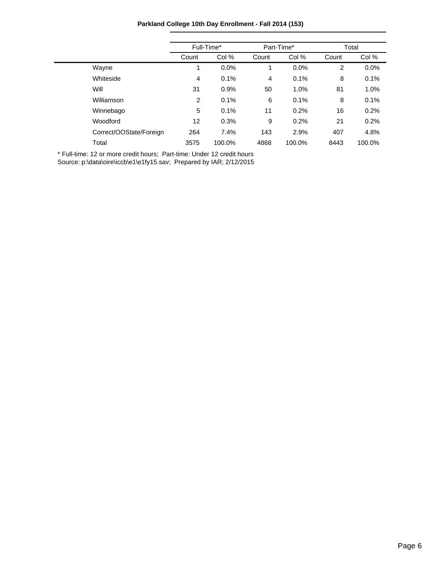**Parkland College 10th Day Enrollment - Fall 2014 (153)**

|                         |                | Full-Time* |       | Part-Time* | Total |        |
|-------------------------|----------------|------------|-------|------------|-------|--------|
|                         | Count          | Col %      | Count | Col %      | Count | Col %  |
| Wayne                   | 1              | $0.0\%$    | 1     | $0.0\%$    | 2     | 0.0%   |
| Whiteside               | 4              | 0.1%       | 4     | 0.1%       | 8     | 0.1%   |
| Will                    | 31             | 0.9%       | 50    | 1.0%       | 81    | 1.0%   |
| Williamson              | $\overline{2}$ | 0.1%       | 6     | 0.1%       | 8     | 0.1%   |
| Winnebago               | 5              | 0.1%       | 11    | 0.2%       | 16    | 0.2%   |
| Woodford                | 12             | 0.3%       | 9     | 0.2%       | 21    | 0.2%   |
| Correct/OOState/Foreign | 264            | 7.4%       | 143   | 2.9%       | 407   | 4.8%   |
| Total                   | 3575           | 100.0%     | 4868  | 100.0%     | 8443  | 100.0% |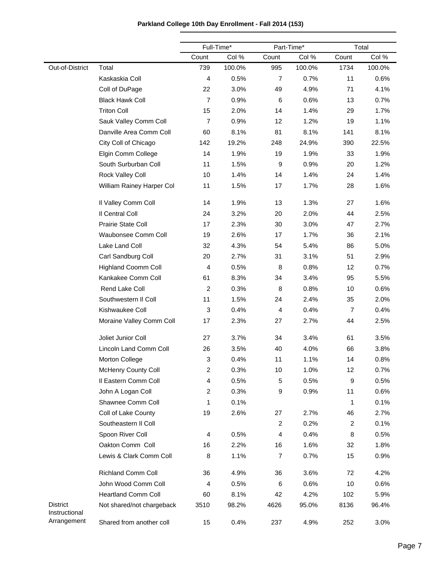|                                  |                            |                | Full-Time* | Part-Time*     |        |                | Total  |
|----------------------------------|----------------------------|----------------|------------|----------------|--------|----------------|--------|
|                                  |                            | Count          | Col %      | Count          | Col %  | Count          | Col %  |
| Out-of-District                  | Total                      | 739            | 100.0%     | 995            | 100.0% | 1734           | 100.0% |
|                                  | Kaskaskia Coll             | 4              | 0.5%       | $\overline{7}$ | 0.7%   | 11             | 0.6%   |
|                                  | Coll of DuPage             | 22             | 3.0%       | 49             | 4.9%   | 71             | 4.1%   |
|                                  | <b>Black Hawk Coll</b>     | $\overline{7}$ | 0.9%       | 6              | 0.6%   | 13             | 0.7%   |
|                                  | <b>Triton Coll</b>         | 15             | 2.0%       | 14             | 1.4%   | 29             | 1.7%   |
|                                  | Sauk Valley Comm Coll      | $\overline{7}$ | 0.9%       | 12             | 1.2%   | 19             | 1.1%   |
|                                  | Danville Area Comm Coll    | 60             | 8.1%       | 81             | 8.1%   | 141            | 8.1%   |
|                                  | City Coll of Chicago       | 142            | 19.2%      | 248            | 24.9%  | 390            | 22.5%  |
|                                  | Elgin Comm College         | 14             | 1.9%       | 19             | 1.9%   | 33             | 1.9%   |
|                                  | South Surburban Coll       | 11             | 1.5%       | 9              | 0.9%   | 20             | 1.2%   |
|                                  | Rock Valley Coll           | 10             | 1.4%       | 14             | 1.4%   | 24             | 1.4%   |
|                                  | William Rainey Harper Col  | 11             | 1.5%       | 17             | 1.7%   | 28             | 1.6%   |
|                                  | Il Valley Comm Coll        | 14             | 1.9%       | 13             | 1.3%   | 27             | 1.6%   |
|                                  | Il Central Coll            | 24             | 3.2%       | 20             | 2.0%   | 44             | 2.5%   |
|                                  | Prairie State Coll         | 17             | 2.3%       | 30             | 3.0%   | 47             | 2.7%   |
|                                  | <b>Waubonsee Comm Coll</b> | 19             | 2.6%       | 17             | 1.7%   | 36             | 2.1%   |
|                                  | Lake Land Coll             | 32             | 4.3%       | 54             | 5.4%   | 86             | 5.0%   |
|                                  | Carl Sandburg Coll         | 20             | 2.7%       | 31             | 3.1%   | 51             | 2.9%   |
|                                  | <b>Highland Coomm Coll</b> | 4              | 0.5%       | 8              | 0.8%   | 12             | 0.7%   |
|                                  | Kankakee Comm Coll         | 61             | 8.3%       | 34             | 3.4%   | 95             | 5.5%   |
|                                  | Rend Lake Coll             | $\overline{c}$ | 0.3%       | 8              | 0.8%   | 10             | 0.6%   |
|                                  | Southwestern II Coll       | 11             | 1.5%       | 24             | 2.4%   | 35             | 2.0%   |
|                                  | Kishwaukee Coll            | 3              | 0.4%       | 4              | 0.4%   | $\overline{7}$ | 0.4%   |
|                                  | Moraine Valley Comm Coll   | 17             | 2.3%       | 27             | 2.7%   | 44             | 2.5%   |
|                                  | Joliet Junior Coll         | 27             | 3.7%       | 34             | 3.4%   | 61             | 3.5%   |
|                                  | Lincoln Land Comm Coll     | 26             | 3.5%       | 40             | 4.0%   | 66             | 3.8%   |
|                                  | Morton College             | 3              | 0.4%       | 11             | 1.1%   | 14             | 0.8%   |
|                                  | McHenry County Coll        | $\overline{c}$ | 0.3%       | 10             | 1.0%   | 12             | 0.7%   |
|                                  | Il Eastern Comm Coll       | 4              | 0.5%       | 5              | 0.5%   | 9              | 0.5%   |
|                                  | John A Logan Coll          | $\overline{c}$ | 0.3%       | 9              | 0.9%   | 11             | 0.6%   |
|                                  | Shawnee Comm Coll          | 1              | 0.1%       |                |        | 1              | 0.1%   |
|                                  | Coll of Lake County        | 19             | 2.6%       | 27             | 2.7%   | 46             | 2.7%   |
|                                  | Southeastern II Coll       |                |            | $\overline{c}$ | 0.2%   | $\overline{c}$ | 0.1%   |
|                                  | Spoon River Coll           | 4              | 0.5%       | 4              | 0.4%   | 8              | 0.5%   |
|                                  | Oakton Comm Coll           | 16             | 2.2%       | 16             | 1.6%   | 32             | 1.8%   |
|                                  | Lewis & Clark Comm Coll    | 8              | 1.1%       | $\overline{7}$ | 0.7%   | 15             | 0.9%   |
|                                  | <b>Richland Comm Coll</b>  | 36             | 4.9%       | 36             | 3.6%   | 72             | 4.2%   |
|                                  | John Wood Comm Coll        | 4              | 0.5%       | 6              | 0.6%   | 10             | 0.6%   |
|                                  | <b>Heartland Comm Coll</b> | 60             | 8.1%       | 42             | 4.2%   | 102            | 5.9%   |
| <b>District</b><br>Instructional | Not shared/not chargeback  | 3510           | 98.2%      | 4626           | 95.0%  | 8136           | 96.4%  |
| Arrangement                      | Shared from another coll   | 15             | 0.4%       | 237            | 4.9%   | 252            | 3.0%   |

## **Parkland College 10th Day Enrollment - Fall 2014 (153)**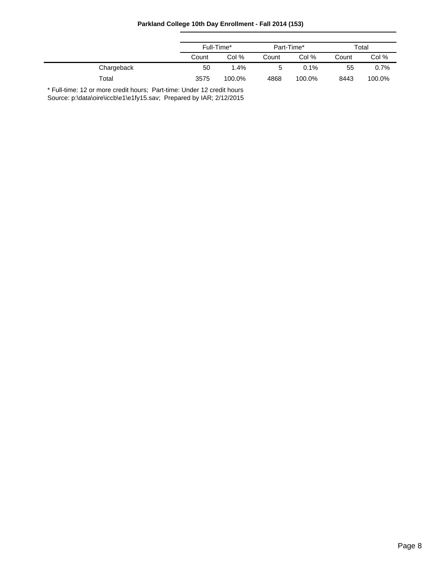|  |  | Parkland College 10th Day Enrollment - Fall 2014 (153) |  |  |
|--|--|--------------------------------------------------------|--|--|
|--|--|--------------------------------------------------------|--|--|

|            | Full-Time* |        | Part-Time* |        | Total |         |
|------------|------------|--------|------------|--------|-------|---------|
|            | Count      | Col %  | Count      | Col %  | Count | Col %   |
| Chargeback | 50         | 1.4%   | 5          | 0.1%   | 55    | $0.7\%$ |
| Total      | 3575       | 100.0% | 4868       | 100.0% | 8443  | 100.0%  |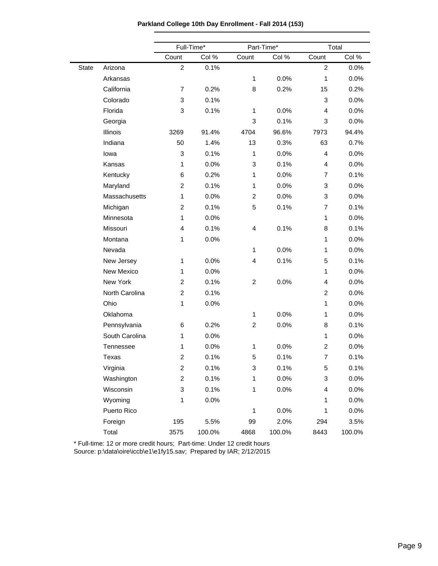**Parkland College 10th Day Enrollment - Fall 2014 (153)**

|              |                | Full-Time*     |        |                | Part-Time* |                | Total  |
|--------------|----------------|----------------|--------|----------------|------------|----------------|--------|
|              |                | Count          | Col %  | Count          | Col %      | Count          | Col %  |
| <b>State</b> | Arizona        | $\overline{c}$ | 0.1%   |                |            | $\overline{c}$ | 0.0%   |
|              | Arkansas       |                |        | $\mathbf{1}$   | 0.0%       | 1              | 0.0%   |
|              | California     | 7              | 0.2%   | 8              | 0.2%       | 15             | 0.2%   |
|              | Colorado       | 3              | 0.1%   |                |            | 3              | 0.0%   |
|              | Florida        | 3              | 0.1%   | $\mathbf{1}$   | 0.0%       | $\overline{4}$ | 0.0%   |
|              | Georgia        |                |        | 3              | 0.1%       | 3              | 0.0%   |
|              | Illinois       | 3269           | 91.4%  | 4704           | 96.6%      | 7973           | 94.4%  |
|              | Indiana        | 50             | 1.4%   | 13             | 0.3%       | 63             | 0.7%   |
|              | lowa           | 3              | 0.1%   | $\mathbf{1}$   | 0.0%       | 4              | 0.0%   |
|              | Kansas         | $\mathbf{1}$   | 0.0%   | 3              | 0.1%       | 4              | 0.0%   |
|              | Kentucky       | 6              | 0.2%   | 1              | 0.0%       | $\overline{7}$ | 0.1%   |
|              | Maryland       | $\overline{c}$ | 0.1%   | 1              | 0.0%       | 3              | 0.0%   |
|              | Massachusetts  | $\mathbf{1}$   | 0.0%   | $\overline{c}$ | 0.0%       | 3              | 0.0%   |
|              | Michigan       | $\overline{c}$ | 0.1%   | 5              | 0.1%       | $\overline{7}$ | 0.1%   |
|              | Minnesota      | $\mathbf{1}$   | 0.0%   |                |            | $\mathbf{1}$   | 0.0%   |
|              | Missouri       | 4              | 0.1%   | 4              | 0.1%       | 8              | 0.1%   |
|              | Montana        | $\mathbf{1}$   | 0.0%   |                |            | $\mathbf{1}$   | 0.0%   |
|              | Nevada         |                |        | 1              | 0.0%       | $\mathbf{1}$   | 0.0%   |
|              | New Jersey     | $\mathbf{1}$   | 0.0%   | 4              | 0.1%       | 5              | 0.1%   |
|              | New Mexico     | 1              | 0.0%   |                |            | $\mathbf{1}$   | 0.0%   |
|              | New York       | $\overline{c}$ | 0.1%   | $\overline{c}$ | 0.0%       | 4              | 0.0%   |
|              | North Carolina | $\overline{c}$ | 0.1%   |                |            | $\overline{2}$ | 0.0%   |
|              | Ohio           | $\mathbf{1}$   | 0.0%   |                |            | $\mathbf{1}$   | 0.0%   |
|              | Oklahoma       |                |        | 1              | 0.0%       | $\mathbf{1}$   | 0.0%   |
|              | Pennsylvania   | 6              | 0.2%   | $\overline{c}$ | 0.0%       | 8              | 0.1%   |
|              | South Carolina | 1              | 0.0%   |                |            | $\mathbf{1}$   | 0.0%   |
|              | Tennessee      | $\mathbf{1}$   | 0.0%   | 1              | 0.0%       | $\overline{c}$ | 0.0%   |
|              | Texas          | $\overline{c}$ | 0.1%   | 5              | 0.1%       | $\overline{7}$ | 0.1%   |
|              | Virginia       | $\overline{c}$ | 0.1%   | 3              | 0.1%       | 5              | 0.1%   |
|              | Washington     | $\overline{c}$ | 0.1%   | 1              | 0.0%       | 3              | 0.0%   |
|              | Wisconsin      | 3              | 0.1%   | 1              | 0.0%       | 4              | 0.0%   |
|              | Wyoming        | 1              | 0.0%   |                |            | 1              | 0.0%   |
|              | Puerto Rico    |                |        | 1              | 0.0%       | 1              | 0.0%   |
|              | Foreign        | 195            | 5.5%   | 99             | 2.0%       | 294            | 3.5%   |
|              | Total          | 3575           | 100.0% | 4868           | 100.0%     | 8443           | 100.0% |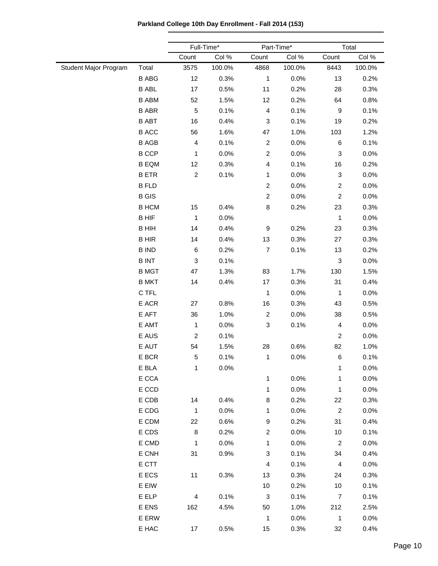**Parkland College 10th Day Enrollment - Fall 2014 (153)**

|                       |                 |                         | Full-Time* |                         | Part-Time* |                           | Total  |  |
|-----------------------|-----------------|-------------------------|------------|-------------------------|------------|---------------------------|--------|--|
|                       |                 | Count                   | Col %      | Count                   | Col %      | Count                     | Col %  |  |
| Student Major Program | Total           | 3575                    | 100.0%     | 4868                    | 100.0%     | 8443                      | 100.0% |  |
|                       | <b>B ABG</b>    | 12                      | 0.3%       | 1                       | 0.0%       | 13                        | 0.2%   |  |
|                       | <b>B ABL</b>    | 17                      | 0.5%       | 11                      | 0.2%       | 28                        | 0.3%   |  |
|                       | <b>B ABM</b>    | 52                      | 1.5%       | 12                      | 0.2%       | 64                        | 0.8%   |  |
|                       | <b>B ABR</b>    | $\mathbf 5$             | 0.1%       | $\overline{\mathbf{4}}$ | 0.1%       | 9                         | 0.1%   |  |
|                       | <b>B ABT</b>    | 16                      | 0.4%       | 3                       | 0.1%       | 19                        | 0.2%   |  |
|                       | <b>B ACC</b>    | 56                      | 1.6%       | 47                      | 1.0%       | 103                       | 1.2%   |  |
|                       | <b>B AGB</b>    | $\overline{\mathbf{4}}$ | 0.1%       | $\overline{c}$          | 0.0%       | 6                         | 0.1%   |  |
|                       | <b>B CCP</b>    | 1                       | 0.0%       | $\overline{c}$          | 0.0%       | $\ensuremath{\mathsf{3}}$ | 0.0%   |  |
|                       | <b>B EQM</b>    | 12                      | 0.3%       | $\overline{\mathbf{4}}$ | 0.1%       | 16                        | 0.2%   |  |
|                       | <b>BETR</b>     | $\overline{2}$          | 0.1%       | 1                       | 0.0%       | $\ensuremath{\mathsf{3}}$ | 0.0%   |  |
|                       | <b>B FLD</b>    |                         |            | $\overline{c}$          | 0.0%       | $\overline{c}$            | 0.0%   |  |
|                       | <b>B</b> GIS    |                         |            | $\overline{c}$          | 0.0%       | $\overline{c}$            | 0.0%   |  |
|                       | <b>B HCM</b>    | 15                      | 0.4%       | 8                       | 0.2%       | 23                        | 0.3%   |  |
|                       | <b>BHIF</b>     | $\mathbf{1}$            | 0.0%       |                         |            | 1                         | 0.0%   |  |
|                       | <b>B HIH</b>    | 14                      | 0.4%       | 9                       | 0.2%       | 23                        | 0.3%   |  |
|                       | <b>BHIR</b>     | 14                      | 0.4%       | 13                      | 0.3%       | 27                        | 0.3%   |  |
|                       | <b>B IND</b>    | 6                       | 0.2%       | $\overline{7}$          | 0.1%       | 13                        | 0.2%   |  |
|                       | <b>BINT</b>     | 3                       | 0.1%       |                         |            | 3                         | 0.0%   |  |
|                       | <b>B MGT</b>    | 47                      | 1.3%       | 83                      | 1.7%       | 130                       | 1.5%   |  |
|                       | <b>B MKT</b>    | 14                      | 0.4%       | 17                      | 0.3%       | 31                        | 0.4%   |  |
|                       | C TFL           |                         |            | $\mathbf{1}$            | 0.0%       | $\mathbf{1}$              | 0.0%   |  |
|                       | E ACR           | 27                      | 0.8%       | 16                      | 0.3%       | 43                        | 0.5%   |  |
|                       | E AFT           | 36                      | 1.0%       | $\overline{c}$          | 0.0%       | 38                        | 0.5%   |  |
|                       | E AMT           | $\mathbf{1}$            | 0.0%       | 3                       | 0.1%       | $\overline{\mathbf{r}}$   | 0.0%   |  |
|                       | E AUS           | $\overline{c}$          | 0.1%       |                         |            | $\overline{c}$            | 0.0%   |  |
|                       | E AUT           | 54                      | 1.5%       | 28                      | 0.6%       | 82                        | 1.0%   |  |
|                       | E BCR           | $\sqrt{5}$              | 0.1%       | 1                       | 0.0%       | 6                         | 0.1%   |  |
|                       | E BLA           | $\mathbf{1}$            | 0.0%       |                         |            | 1                         | 0.0%   |  |
|                       | $\mathsf E$ CCA |                         |            | 1                       | 0.0%       | 1                         | 0.0%   |  |
|                       | E CCD           |                         |            | $\mathbf{1}$            | 0.0%       | $\mathbf{1}$              | 0.0%   |  |
|                       | $\mathsf E$ CDB | 14                      | 0.4%       | 8                       | 0.2%       | 22                        | 0.3%   |  |
|                       | E CDG           | $\mathbf{1}$            | 0.0%       | 1                       | 0.0%       | $\overline{c}$            | 0.0%   |  |
|                       | E CDM           | 22                      | 0.6%       | 9                       | 0.2%       | 31                        | 0.4%   |  |
|                       | E CDS           | 8                       | 0.2%       | $\overline{c}$          | 0.0%       | 10                        | 0.1%   |  |
|                       | E CMD           | $\mathbf{1}$            | 0.0%       | 1                       | 0.0%       | $\overline{c}$            | 0.0%   |  |
|                       | E CNH           | 31                      | 0.9%       | 3                       | 0.1%       | 34                        | 0.4%   |  |
|                       | E CTT           |                         |            | $\overline{\mathbf{4}}$ | 0.1%       | $\overline{4}$            | 0.0%   |  |
|                       | E ECS           | 11                      | 0.3%       | 13                      | 0.3%       | 24                        | 0.3%   |  |
|                       | E EIW           |                         |            | 10                      | 0.2%       | 10                        | 0.1%   |  |
|                       | E ELP           | 4                       | 0.1%       | 3                       | 0.1%       | 7                         | 0.1%   |  |
|                       | E ENS           | 162                     | 4.5%       | 50                      | 1.0%       | 212                       | 2.5%   |  |
|                       | E ERW           |                         |            | $\mathbf{1}$            | 0.0%       | $\mathbf{1}$              | 0.0%   |  |
|                       | E HAC           | 17                      | 0.5%       | 15                      | 0.3%       | 32                        | 0.4%   |  |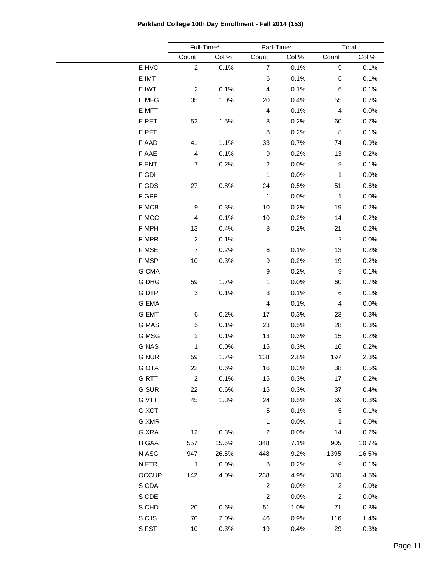**Parkland College 10th Day Enrollment - Fall 2014 (153)**

|              | Full-Time*              |       |                | Part-Time* |                  | Total |  |  |
|--------------|-------------------------|-------|----------------|------------|------------------|-------|--|--|
|              | Count                   | Col % | Count          | Col %      | Count            | Col % |  |  |
| E HVC        | $\overline{2}$          | 0.1%  | $\overline{7}$ | 0.1%       | 9                | 0.1%  |  |  |
| E IMT        |                         |       | 6              | 0.1%       | 6                | 0.1%  |  |  |
| E IWT        | $\overline{2}$          | 0.1%  | 4              | 0.1%       | 6                | 0.1%  |  |  |
| E MFG        | 35                      | 1.0%  | 20             | 0.4%       | 55               | 0.7%  |  |  |
| E MFT        |                         |       | 4              | 0.1%       | 4                | 0.0%  |  |  |
| E PET        | 52                      | 1.5%  | 8              | 0.2%       | 60               | 0.7%  |  |  |
| E PFT        |                         |       | 8              | 0.2%       | 8                | 0.1%  |  |  |
| F AAD        | 41                      | 1.1%  | 33             | 0.7%       | 74               | 0.9%  |  |  |
| F AAE        | $\overline{\mathbf{4}}$ | 0.1%  | 9              | 0.2%       | 13               | 0.2%  |  |  |
| F ENT        | 7                       | 0.2%  | $\overline{c}$ | 0.0%       | $\boldsymbol{9}$ | 0.1%  |  |  |
| F GDI        |                         |       | $\mathbf{1}$   | 0.0%       | 1                | 0.0%  |  |  |
| F GDS        | 27                      | 0.8%  | 24             | 0.5%       | 51               | 0.6%  |  |  |
| F GPP        |                         |       | $\mathbf{1}$   | 0.0%       | 1                | 0.0%  |  |  |
| F MCB        | 9                       | 0.3%  | 10             | 0.2%       | 19               | 0.2%  |  |  |
| F MCC        | $\overline{\mathbf{4}}$ | 0.1%  | 10             | 0.2%       | 14               | 0.2%  |  |  |
| F MPH        | 13                      | 0.4%  | 8              | 0.2%       | 21               | 0.2%  |  |  |
| F MPR        | $\sqrt{2}$              | 0.1%  |                |            | $\boldsymbol{2}$ | 0.0%  |  |  |
| F MSE        | $\overline{7}$          | 0.2%  | 6              | 0.1%       | 13               | 0.2%  |  |  |
| F MSP        | 10                      | 0.3%  | 9              | 0.2%       | 19               | 0.2%  |  |  |
| G CMA        |                         |       | 9              | 0.2%       | $\boldsymbol{9}$ | 0.1%  |  |  |
| G DHG        | 59                      | 1.7%  | $\mathbf{1}$   | 0.0%       | 60               | 0.7%  |  |  |
| G DTP        | $\sqrt{3}$              | 0.1%  | 3              | 0.1%       | 6                | 0.1%  |  |  |
| G EMA        |                         |       | 4              | 0.1%       | 4                | 0.0%  |  |  |
| <b>G EMT</b> | 6                       | 0.2%  | 17             | 0.3%       | 23               | 0.3%  |  |  |
| G MAS        | 5                       | 0.1%  | 23             | 0.5%       | 28               | 0.3%  |  |  |
| G MSG        | $\overline{c}$          | 0.1%  | 13             | 0.3%       | 15               | 0.2%  |  |  |
| <b>G NAS</b> | 1                       | 0.0%  | 15             | 0.3%       | 16               | 0.2%  |  |  |
| <b>G NUR</b> | 59                      | 1.7%  | 138            | 2.8%       | 197              | 2.3%  |  |  |
| <b>G OTA</b> | 22                      | 0.6%  | 16             | 0.3%       | 38               | 0.5%  |  |  |
| <b>GRTT</b>  | $\boldsymbol{2}$        | 0.1%  | 15             | 0.3%       | 17               | 0.2%  |  |  |
| <b>G SUR</b> | 22                      | 0.6%  | 15             | 0.3%       | 37               | 0.4%  |  |  |
| <b>G VTT</b> | 45                      | 1.3%  | 24             | 0.5%       | 69               | 0.8%  |  |  |
| G XCT        |                         |       | 5              | 0.1%       | 5                | 0.1%  |  |  |
| G XMR        |                         |       | $\mathbf{1}$   | 0.0%       | 1                | 0.0%  |  |  |
| G XRA        | 12                      | 0.3%  | $\overline{c}$ | 0.0%       | 14               | 0.2%  |  |  |
| H GAA        | 557                     | 15.6% | 348            | 7.1%       | 905              | 10.7% |  |  |
| N ASG        | 947                     | 26.5% | 448            | 9.2%       | 1395             | 16.5% |  |  |
| N FTR        | $\mathbf{1}$            | 0.0%  | 8              | 0.2%       | $\boldsymbol{9}$ | 0.1%  |  |  |
| <b>OCCUP</b> | 142                     | 4.0%  | 238            | 4.9%       | 380              | 4.5%  |  |  |
|              |                         |       | $\overline{2}$ |            | $\overline{c}$   |       |  |  |
| S CDA        |                         |       | $\overline{2}$ | $0.0\%$    |                  | 0.0%  |  |  |
| S CDE        |                         |       |                | 0.0%       | $\boldsymbol{2}$ | 0.0%  |  |  |
| S CHD        | 20                      | 0.6%  | 51             | 1.0%       | 71               | 0.8%  |  |  |
| S CJS        | 70                      | 2.0%  | 46             | 0.9%       | 116              | 1.4%  |  |  |
| SFST         | 10                      | 0.3%  | 19             | 0.4%       | 29               | 0.3%  |  |  |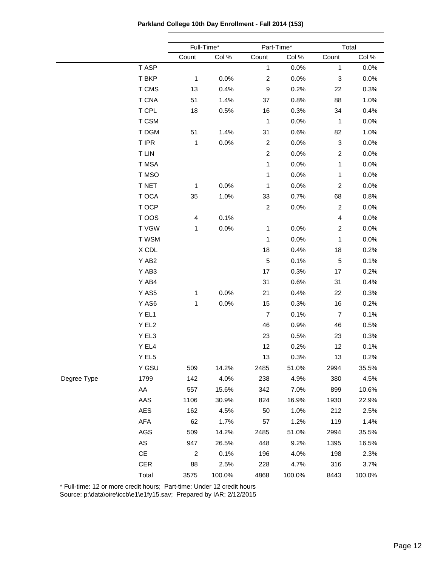**Parkland College 10th Day Enrollment - Fall 2014 (153)**

|             |               | Full-Time*              |        | Part-Time*       |        | Total          |        |
|-------------|---------------|-------------------------|--------|------------------|--------|----------------|--------|
|             |               | Count                   | Col %  | Count            | Col %  | Count          | Col %  |
|             | T ASP         |                         |        | $\mathbf{1}$     | 0.0%   | $\mathbf{1}$   | 0.0%   |
|             | T BKP         | $\mathbf{1}$            | 0.0%   | $\boldsymbol{2}$ | 0.0%   | 3              | 0.0%   |
|             | T CMS         | 13                      | 0.4%   | $\boldsymbol{9}$ | 0.2%   | 22             | 0.3%   |
|             | <b>T CNA</b>  | 51                      | 1.4%   | 37               | 0.8%   | 88             | 1.0%   |
|             | T CPL         | 18                      | 0.5%   | 16               | 0.3%   | 34             | 0.4%   |
|             | T CSM         |                         |        | 1                | 0.0%   | $\mathbf{1}$   | 0.0%   |
|             | T DGM         | 51                      | 1.4%   | 31               | 0.6%   | 82             | 1.0%   |
|             | T IPR         | $\mathbf{1}$            | 0.0%   | $\overline{c}$   | 0.0%   | 3              | 0.0%   |
|             | <b>TLIN</b>   |                         |        | $\overline{c}$   | 0.0%   | $\overline{c}$ | 0.0%   |
|             | T MSA         |                         |        | $\mathbf 1$      | 0.0%   | 1              | 0.0%   |
|             | T MSO         |                         |        | $\mathbf 1$      | 0.0%   | $\mathbf 1$    | 0.0%   |
|             | T NET         | $\mathbf{1}$            | 0.0%   | 1                | 0.0%   | $\overline{c}$ | 0.0%   |
|             | T OCA         | 35                      | 1.0%   | 33               | 0.7%   | 68             | 0.8%   |
|             | T OCP         |                         |        | $\overline{c}$   | 0.0%   | $\overline{c}$ | 0.0%   |
|             | T OOS         | $\overline{\mathbf{4}}$ | 0.1%   |                  |        | 4              | 0.0%   |
|             | <b>TVGW</b>   | $\mathbf{1}$            | 0.0%   | 1                | 0.0%   | $\overline{c}$ | 0.0%   |
|             | T WSM         |                         |        | 1                | 0.0%   | $\mathbf 1$    | 0.0%   |
|             | X CDL         |                         |        | 18               | 0.4%   | 18             | 0.2%   |
|             | Y AB2         |                         |        | $\mathbf 5$      | 0.1%   | $\mathbf 5$    | 0.1%   |
|             | Y AB3         |                         |        | 17               | 0.3%   | 17             | 0.2%   |
|             | Y AB4         |                         |        | 31               | 0.6%   | 31             | 0.4%   |
|             | Y AS5         | 1                       | 0.0%   | 21               | 0.4%   | 22             | 0.3%   |
|             | Y AS6         | $\mathbf{1}$            | 0.0%   | 15               | 0.3%   | 16             | 0.2%   |
|             | Y EL1         |                         |        | $\overline{7}$   | 0.1%   | $\overline{7}$ | 0.1%   |
|             | Y EL2         |                         |        | 46               | 0.9%   | 46             | 0.5%   |
|             | Y EL3         |                         |        | 23               | 0.5%   | 23             | 0.3%   |
|             | Y EL4         |                         |        | 12               | 0.2%   | 12             | 0.1%   |
|             | Y EL5         |                         |        | 13               | 0.3%   | 13             | 0.2%   |
|             | Y GSU         | 509                     | 14.2%  | 2485             | 51.0%  | 2994           | 35.5%  |
| Degree Type | 1799          | 142                     | 4.0%   | 238              | 4.9%   | 380            | 4.5%   |
|             | AA            | 557                     | 15.6%  | 342              | 7.0%   | 899            | 10.6%  |
|             | AAS           | 1106                    | 30.9%  | 824              | 16.9%  | 1930           | 22.9%  |
|             | AES           | 162                     | 4.5%   | 50               | 1.0%   | 212            | 2.5%   |
|             | AFA           | 62                      | 1.7%   | 57               | 1.2%   | 119            | 1.4%   |
|             | AGS           | 509                     | 14.2%  | 2485             | 51.0%  | 2994           | 35.5%  |
|             | ${\sf AS}$    | 947                     | 26.5%  | 448              | 9.2%   | 1395           | 16.5%  |
|             | $\mathsf{CE}$ | $\overline{2}$          | 0.1%   | 196              | 4.0%   | 198            | 2.3%   |
|             | CER           | 88                      | 2.5%   | 228              | 4.7%   | 316            | 3.7%   |
|             | Total         | 3575                    | 100.0% | 4868             | 100.0% | 8443           | 100.0% |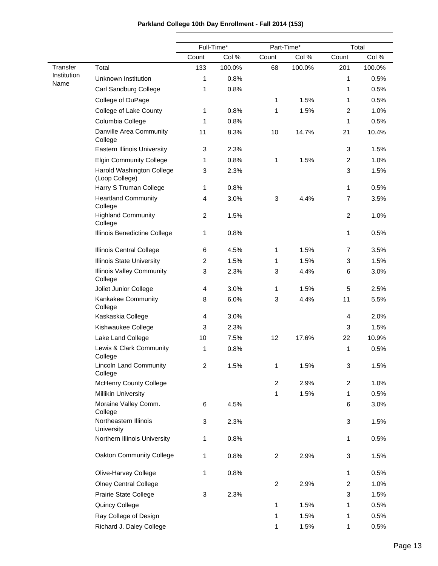|                     |                                             |                | Full-Time* | Part-Time*     |        | Total          |        |
|---------------------|---------------------------------------------|----------------|------------|----------------|--------|----------------|--------|
|                     |                                             | Count          | Col %      | Count          | Col %  | Count          | Col %  |
| <b>Transfer</b>     | Total                                       | 133            | 100.0%     | 68             | 100.0% | 201            | 100.0% |
| Institution<br>Name | Unknown Institution                         | 1              | 0.8%       |                |        | 1              | 0.5%   |
|                     | Carl Sandburg College                       | 1              | 0.8%       |                |        | 1              | 0.5%   |
|                     | College of DuPage                           |                |            | 1              | 1.5%   | 1              | 0.5%   |
|                     | College of Lake County                      | 1              | 0.8%       | 1              | 1.5%   | $\overline{c}$ | 1.0%   |
|                     | Columbia College                            | 1              | 0.8%       |                |        | 1              | 0.5%   |
|                     | Danville Area Community<br>College          | 11             | 8.3%       | 10             | 14.7%  | 21             | 10.4%  |
|                     | Eastern Illinois University                 | 3              | 2.3%       |                |        | 3              | 1.5%   |
|                     | <b>Elgin Community College</b>              | 1              | 0.8%       | 1              | 1.5%   | $\overline{c}$ | 1.0%   |
|                     | Harold Washington College<br>(Loop College) | 3              | 2.3%       |                |        | 3              | 1.5%   |
|                     | Harry S Truman College                      | 1              | 0.8%       |                |        | 1              | 0.5%   |
|                     | <b>Heartland Community</b><br>College       | 4              | 3.0%       | 3              | 4.4%   | $\overline{7}$ | 3.5%   |
|                     | <b>Highland Community</b><br>College        | $\overline{c}$ | 1.5%       |                |        | $\overline{c}$ | 1.0%   |
|                     | Illinois Benedictine College                | 1              | 0.8%       |                |        | 1              | 0.5%   |
|                     | Illinois Central College                    | 6              | 4.5%       | 1              | 1.5%   | 7              | 3.5%   |
|                     | <b>Illinois State University</b>            | 2              | 1.5%       | 1              | 1.5%   | 3              | 1.5%   |
|                     | <b>Illinois Valley Community</b><br>College | 3              | 2.3%       | 3              | 4.4%   | 6              | 3.0%   |
|                     | Joliet Junior College                       | 4              | 3.0%       | 1              | 1.5%   | 5              | 2.5%   |
|                     | Kankakee Community<br>College               | 8              | 6.0%       | 3              | 4.4%   | 11             | 5.5%   |
|                     | Kaskaskia College                           | 4              | 3.0%       |                |        | 4              | 2.0%   |
|                     | Kishwaukee College                          | 3              | 2.3%       |                |        | 3              | 1.5%   |
|                     | Lake Land College                           | 10             | 7.5%       | 12             | 17.6%  | 22             | 10.9%  |
|                     | Lewis & Clark Community<br>College          | 1              | 0.8%       |                |        | 1              | 0.5%   |
|                     | <b>Lincoln Land Community</b><br>College    | $\overline{c}$ | 1.5%       | 1              | 1.5%   | 3              | 1.5%   |
|                     | <b>McHenry County College</b>               |                |            | $\overline{2}$ | 2.9%   | $\overline{c}$ | 1.0%   |
|                     | <b>Millikin University</b>                  |                |            | 1              | 1.5%   | 1              | 0.5%   |
|                     | Moraine Valley Comm.<br>College             | 6              | 4.5%       |                |        | 6              | 3.0%   |
|                     | Northeastern Illinois<br>University         | 3              | 2.3%       |                |        | 3              | 1.5%   |
|                     | Northern Illinois University                | 1              | 0.8%       |                |        | 1              | 0.5%   |
|                     | Oakton Community College                    | 1              | 0.8%       | $\overline{2}$ | 2.9%   | 3              | 1.5%   |
|                     | Olive-Harvey College                        | 1              | 0.8%       |                |        | 1              | 0.5%   |
|                     | <b>Olney Central College</b>                |                |            | $\overline{2}$ | 2.9%   | $\overline{c}$ | 1.0%   |
|                     | Prairie State College                       | 3              | 2.3%       |                |        | 3              | 1.5%   |
|                     | Quincy College                              |                |            | 1              | 1.5%   | 1              | 0.5%   |
|                     | Ray College of Design                       |                |            | 1              | 1.5%   | 1              | 0.5%   |
|                     | Richard J. Daley College                    |                |            | 1              | 1.5%   | 1              | 0.5%   |